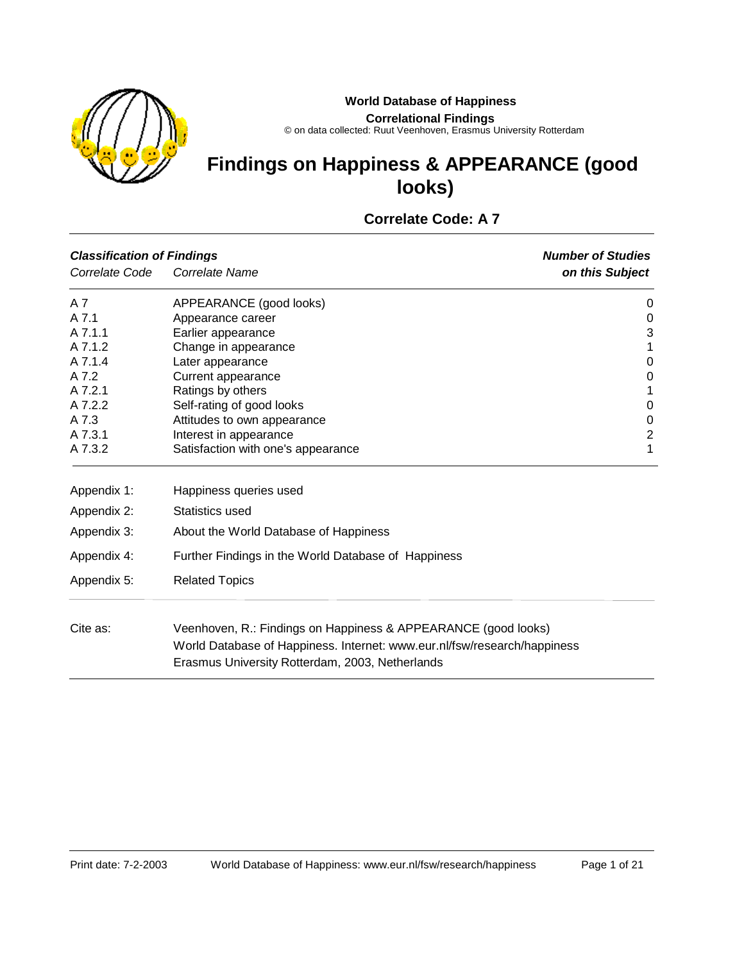



#### **Correlational Findings**

© on data collected: Ruut Veenhoven, Erasmus University Rotterdam

# **Findings on Happiness & APPEARANCE (good looks)**

## **Correlate Code: A 7**

| <b>Classification of Findings</b> |                                                                                                                                                                                               | <b>Number of Studies</b> |
|-----------------------------------|-----------------------------------------------------------------------------------------------------------------------------------------------------------------------------------------------|--------------------------|
| Correlate Code                    | Correlate Name                                                                                                                                                                                | on this Subject          |
| A 7                               | APPEARANCE (good looks)                                                                                                                                                                       | 0                        |
| A 7.1                             | Appearance career                                                                                                                                                                             | 0                        |
| A 7.1.1                           | Earlier appearance                                                                                                                                                                            | 3                        |
| A 7.1.2                           | Change in appearance                                                                                                                                                                          | 1                        |
| A 7.1.4                           | Later appearance                                                                                                                                                                              | 0                        |
| A 7.2                             | Current appearance                                                                                                                                                                            | 0                        |
| A 7.2.1                           | Ratings by others                                                                                                                                                                             | 1                        |
| A 7.2.2                           | Self-rating of good looks                                                                                                                                                                     | $\mathbf 0$              |
| A 7.3                             | Attitudes to own appearance                                                                                                                                                                   | $\boldsymbol{0}$         |
| A 7.3.1                           | Interest in appearance                                                                                                                                                                        | $\overline{c}$           |
| A 7.3.2                           | Satisfaction with one's appearance                                                                                                                                                            | 1                        |
| Appendix 1:                       | Happiness queries used                                                                                                                                                                        |                          |
| Appendix 2:                       | Statistics used                                                                                                                                                                               |                          |
| Appendix 3:                       | About the World Database of Happiness                                                                                                                                                         |                          |
| Appendix 4:                       | Further Findings in the World Database of Happiness                                                                                                                                           |                          |
| Appendix 5:                       | <b>Related Topics</b>                                                                                                                                                                         |                          |
| Cite as:                          | Veenhoven, R.: Findings on Happiness & APPEARANCE (good looks)<br>World Database of Happiness. Internet: www.eur.nl/fsw/research/happiness<br>Erasmus University Rotterdam, 2003, Netherlands |                          |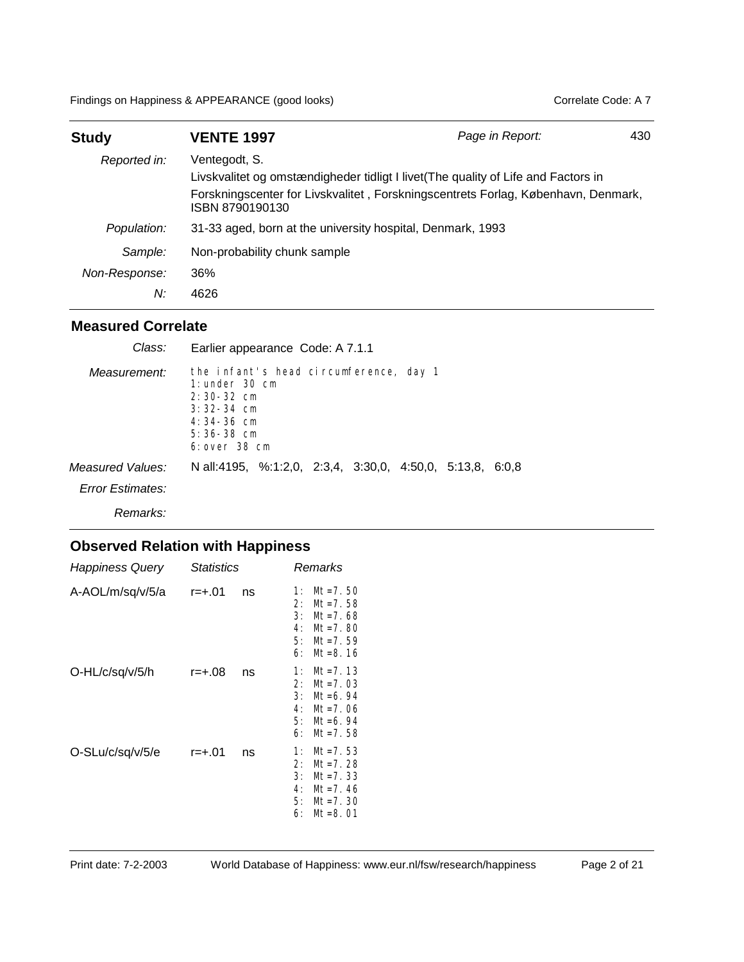Findings on Happiness & APPEARANCE (good looks) Correlate Code: A 7

| <b>Study</b>  | <b>VENTE 1997</b>                                          | Page in Report:                                                                                                                                                         | 430 |
|---------------|------------------------------------------------------------|-------------------------------------------------------------------------------------------------------------------------------------------------------------------------|-----|
| Reported in:  | Ventegodt, S.<br>ISBN 8790190130                           | Livskvalitet og omstændigheder tidligt I livet (The quality of Life and Factors in<br>Forskningscenter for Livskvalitet, Forskningscentrets Forlag, København, Denmark, |     |
| Population:   | 31-33 aged, born at the university hospital, Denmark, 1993 |                                                                                                                                                                         |     |
| Sample:       | Non-probability chunk sample                               |                                                                                                                                                                         |     |
| Non-Response: | 36%                                                        |                                                                                                                                                                         |     |
| N:            | 4626                                                       |                                                                                                                                                                         |     |

#### **Measured Correlate**

| Class:                                      | Earlier appearance Code: A 7.1.1                                                                                                                |
|---------------------------------------------|-------------------------------------------------------------------------------------------------------------------------------------------------|
| Measurement:                                | the infant's head circumference, day 1<br>$1:$ under $30$ cm<br>$2:30-32$ cm<br>$3:32-34$ cm<br>$4:34-36$ cm<br>$5:36-38$ cm<br>$6:$ over 38 cm |
| Measured Values:<br><b>Error Estimates:</b> | N all:4195, %:1:2,0, 2:3,4, 3:30,0, 4:50,0, 5:13,8, 6:0,8                                                                                       |
| Remarks:                                    |                                                                                                                                                 |

| <b>Happiness Query</b> | <i><b>Statistics</b></i> |    | Remarks                                                                                                                    |
|------------------------|--------------------------|----|----------------------------------------------------------------------------------------------------------------------------|
| A-AOL/m/sq/v/5/a       | $r = +.01$               | ns | $Mt = 7.50$<br>1:<br>2:<br>$Mt = 7.58$<br>3:<br>$Mt = 7.68$<br>$Mt = 7.80$<br>4:<br>$Mt = 7.59$<br>5:<br>6:<br>$Mt = 8.16$ |
| O-HL/c/sq/v/5/h        | r=+.08                   | ns | $Mt = 7.13$<br>1:<br>2:<br>$Mt = 7.03$<br>3:<br>$Mt = 6.94$<br>$Mt = 7.06$<br>4:<br>5:<br>$Mt = 6.94$<br>$Mt = 7.58$<br>6: |
| O-SLu/c/sq/v/5/e       | $r = +.01$               | ns | 1:<br>$Mt = 7.53$<br>2:<br>$Mt = 7.28$<br>3:<br>$Mt = 7.33$<br>4:<br>$Mt = 7.46$<br>5:<br>$Mt = 7.30$<br>6:<br>$Mt = 8.01$ |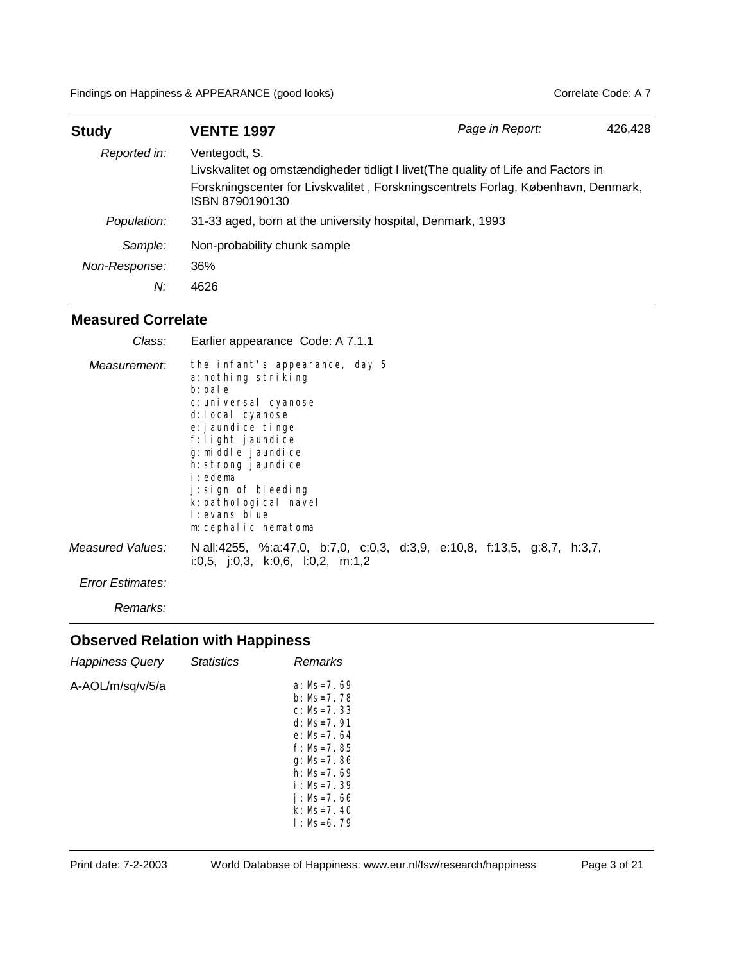| <b>Study</b>  | <b>VENTE 1997</b>                                                                                                                                                                                           | Page in Report: | 426,428 |
|---------------|-------------------------------------------------------------------------------------------------------------------------------------------------------------------------------------------------------------|-----------------|---------|
| Reported in:  | Ventegodt, S.<br>Livskvalitet og omstændigheder tidligt I livet (The quality of Life and Factors in<br>Forskningscenter for Livskvalitet, Forskningscentrets Forlag, København, Denmark,<br>ISBN 8790190130 |                 |         |
| Population:   | 31-33 aged, born at the university hospital, Denmark, 1993                                                                                                                                                  |                 |         |
| Sample:       | Non-probability chunk sample                                                                                                                                                                                |                 |         |
| Non-Response: | 36%                                                                                                                                                                                                         |                 |         |
| N:            | 4626                                                                                                                                                                                                        |                 |         |

| Class:           | Earlier appearance Code: A 7.1.1                                                                                                                                                                                                                                                                                |
|------------------|-----------------------------------------------------------------------------------------------------------------------------------------------------------------------------------------------------------------------------------------------------------------------------------------------------------------|
| Measurement:     | the infant's appearance, day 5<br>a: nothing striking<br>b: pal e<br>c: uni versal cyanose<br>d: local cyanose<br>e: j aundi ce tinge<br>f: light jaundice<br>g: mi ddl e j aundi ce<br>h: strong j aundice<br>i:edema<br>i: sign of bleeding<br>k: pathological navel<br>I: evans blue<br>m: cephalic hematoma |
| Measured Values: | N all:4255, %:a:47,0, b:7,0, c:0,3, d:3,9, e:10,8, f:13,5, g:8,7, h:3,7,<br>i:0,5, j:0,3, k:0,6, l:0,2, m:1,2                                                                                                                                                                                                   |
| Error Estimates: |                                                                                                                                                                                                                                                                                                                 |

*Remarks:*

| <b>Happiness Query</b> | <b>Statistics</b> | Remarks                                                                                                                                                                              |
|------------------------|-------------------|--------------------------------------------------------------------------------------------------------------------------------------------------------------------------------------|
| A-AOL/m/sq/v/5/a       |                   | $a: Ms=7.69$<br>b: Ms=7. 78<br>$c: Ms=7.33$<br>$d: Ms=7.91$<br>$e: Ms=7.64$<br>$f: Ms=7.85$<br>g: Ms=7. 86<br>h: $Ms=7.69$<br>i: Ms=7.39<br>i:Ms=7.66<br>$k: Ms=7.40$<br>$1:MS=6.79$ |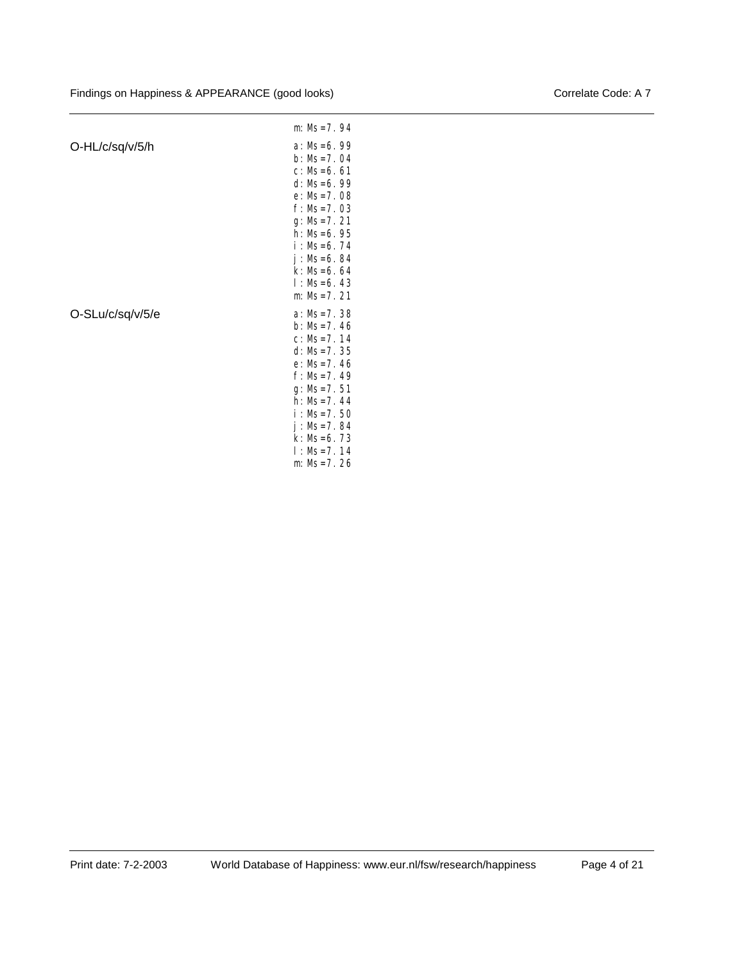|                  | $m: Ms = 7.94$                                                                                                                                                                                                      |
|------------------|---------------------------------------------------------------------------------------------------------------------------------------------------------------------------------------------------------------------|
| O-HL/c/sq/v/5/h  | $a: Ms=6.99$<br>$b: MS = 7.04$<br>$c: Ms=6.61$<br>$d: Ms=6.99$<br>$e: Ms = 7.08$<br>$f: Ms=7.03$<br>$g: Ms = 7.21$<br>$h: Ms=6.95$<br>$i:MS=6.74$<br>$j: Ms=6.84$<br>$k: Ms=6.64$<br>$1: Ms=6.43$<br>$m: Ms = 7.21$ |
| O-SLu/c/sq/v/5/e | $a: Ms=7.38$<br>$b: Ms=7.46$<br>$C: MS = 7.14$<br>$d: Ms = 7.35$<br>$e: Ms=7.46$<br>$f: Ms=7.49$<br>$g: Ms = 7.51$<br>$h: Ms=7.44$<br>$i: Ms = 7.50$<br>$j: Ms=7.84$<br>$k: Ms=6.73$<br>$1:MS=7.14$<br>$m: Ms=7.26$ |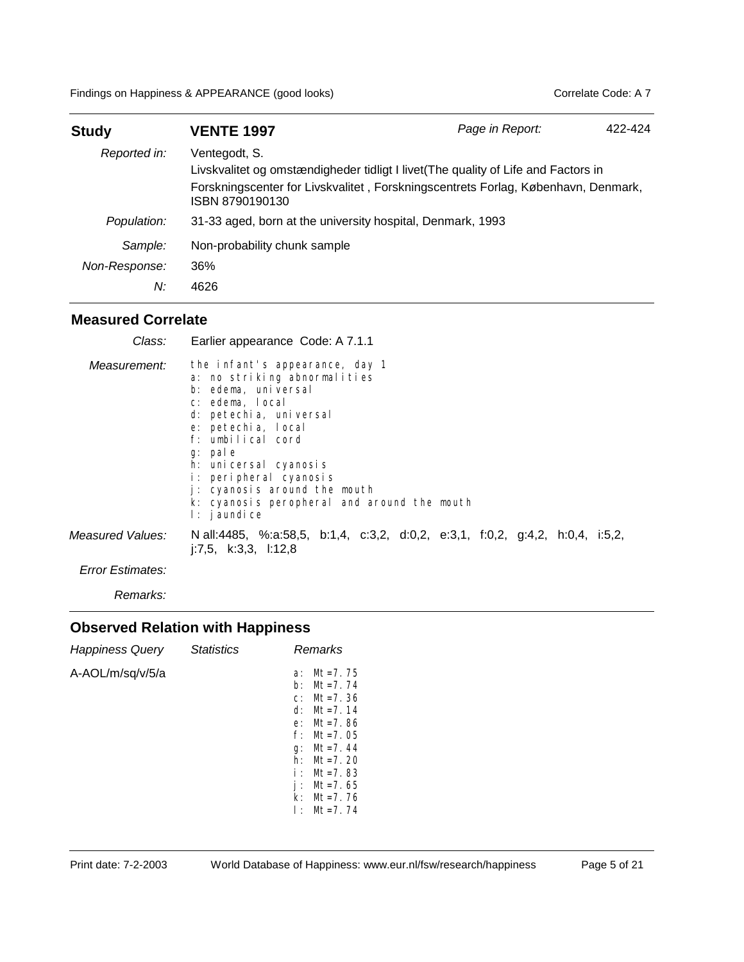| <b>Study</b>  | <b>VENTE 1997</b>                                                                                                                                                                                           | Page in Report: | 422-424 |
|---------------|-------------------------------------------------------------------------------------------------------------------------------------------------------------------------------------------------------------|-----------------|---------|
| Reported in:  | Ventegodt, S.<br>Livskvalitet og omstændigheder tidligt I livet (The quality of Life and Factors in<br>Forskningscenter for Livskvalitet, Forskningscentrets Forlag, København, Denmark,<br>ISBN 8790190130 |                 |         |
| Population:   | 31-33 aged, born at the university hospital, Denmark, 1993                                                                                                                                                  |                 |         |
| Sample:       | Non-probability chunk sample                                                                                                                                                                                |                 |         |
| Non-Response: | 36%                                                                                                                                                                                                         |                 |         |
| N:            | 4626                                                                                                                                                                                                        |                 |         |

| Class:           | Earlier appearance Code: A 7.1.1                                                                                                                                                                                                                                                                                                           |
|------------------|--------------------------------------------------------------------------------------------------------------------------------------------------------------------------------------------------------------------------------------------------------------------------------------------------------------------------------------------|
| Measurement:     | the infant's appearance, day 1<br>a: no striking abnormalities<br>b: edema, universal<br>c: edema, local<br>d: petechia, universal<br>e: petechia, local<br>f: umbilical cord<br>g: pale<br>h: uni cersal cyanosis<br>i: peripheral cyanosis<br>j: cyanosis around the mouth<br>k: cyanosis peropheral and around the mouth<br>l: jaundice |
| Measured Values: | N all:4485, %:a:58,5, b:1,4, c:3,2, d:0,2, e:3,1, f:0,2, g:4,2, h:0,4, i:5,2,<br>$i:7,5$ , $k:3,3$ , $i:12,8$                                                                                                                                                                                                                              |
| Error Estimates: |                                                                                                                                                                                                                                                                                                                                            |

*Remarks:*

| <b>Happiness Query</b> | <b>Statistics</b> | Remarks                                                                                                                                                                                                                           |
|------------------------|-------------------|-----------------------------------------------------------------------------------------------------------------------------------------------------------------------------------------------------------------------------------|
| A-AOL/m/sq/v/5/a       |                   | $Mt = 7.75$<br>a:<br>$Mt = 7.74$<br>b:<br>$c: Mt=7.36$<br>d: $Mt = 7.14$<br>$Mt = 7.86$<br>$e$ :<br>f∙<br>$Mt = 7.05$<br>$Mt = 7.44$<br>g:<br>h۰<br>$Mt = 7.20$<br>i: Mt=7.83<br>$Mt = 7.65$<br>$Mt = 7.76$<br>k۰<br>$1: Mt=7.74$ |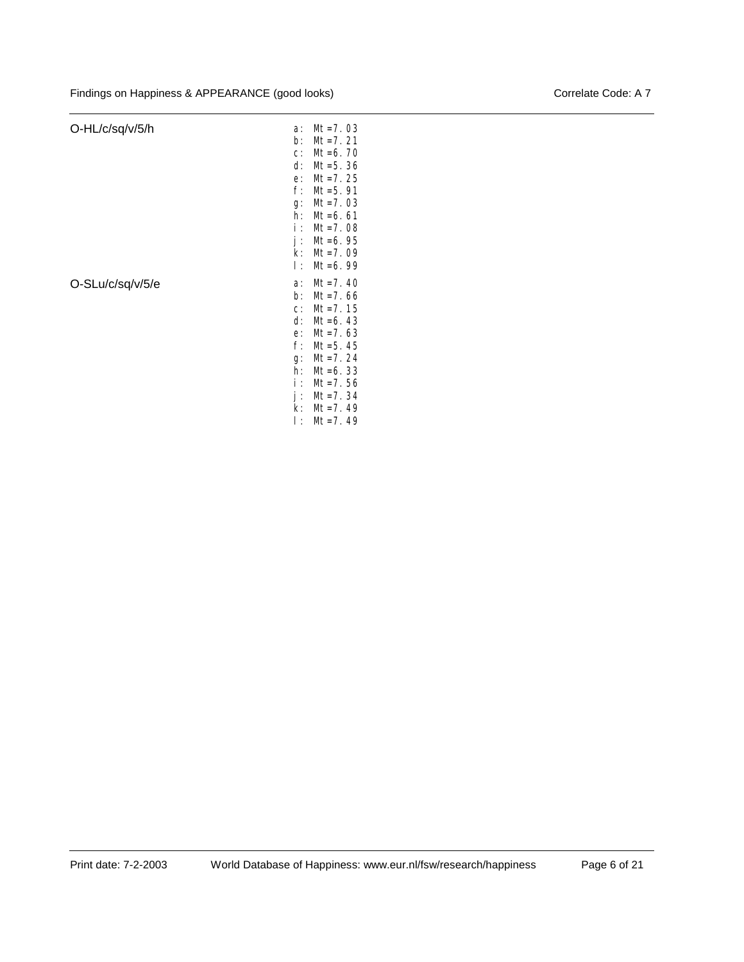#### O-HL/c/sq/v/5/h

| O-HL/c/sq/v/5/h  | a:          | $Mt = 7.03$                |
|------------------|-------------|----------------------------|
|                  | $b$ :       | $Mt = 7.21$                |
|                  | $C$ :       | $Mt = 6.70$                |
|                  | d:          | $Mt = 5.36$                |
|                  | e:          | $Mt = 7.25$                |
|                  | $f$ :       | $Mt = 5.91$                |
|                  | g:          | $Mt = 7.03$                |
|                  | h:          | $Mt = 6.61$                |
|                  | i :         | $Mt = 7.08$                |
|                  | j:          | $Mt = 6.95$                |
|                  | $k$ :       | $Mt = 7.09$                |
|                  | Ι÷          | $Mt = 6.99$                |
|                  |             |                            |
|                  | a:          | $Mt = 7.40$                |
| O-SLu/c/sq/v/5/e | b:          | $Mt = 7.66$                |
|                  | $C$ :       | $Mt = 7.15$                |
|                  | d:          | $Mt = 6.43$                |
|                  | e:          | $Mt = 7.63$                |
|                  | $f$ :       | $Mt = 5.45$                |
|                  | g:          | $Mt = 7.24$                |
|                  | h:          | $Mt = 6.33$                |
|                  | i :         | $Mt = 7.56$                |
|                  | j:          | $Mt = 7.34$                |
|                  | $k$ :<br>Ŀ. | $Mt = 7.49$<br>$Mt = 7.49$ |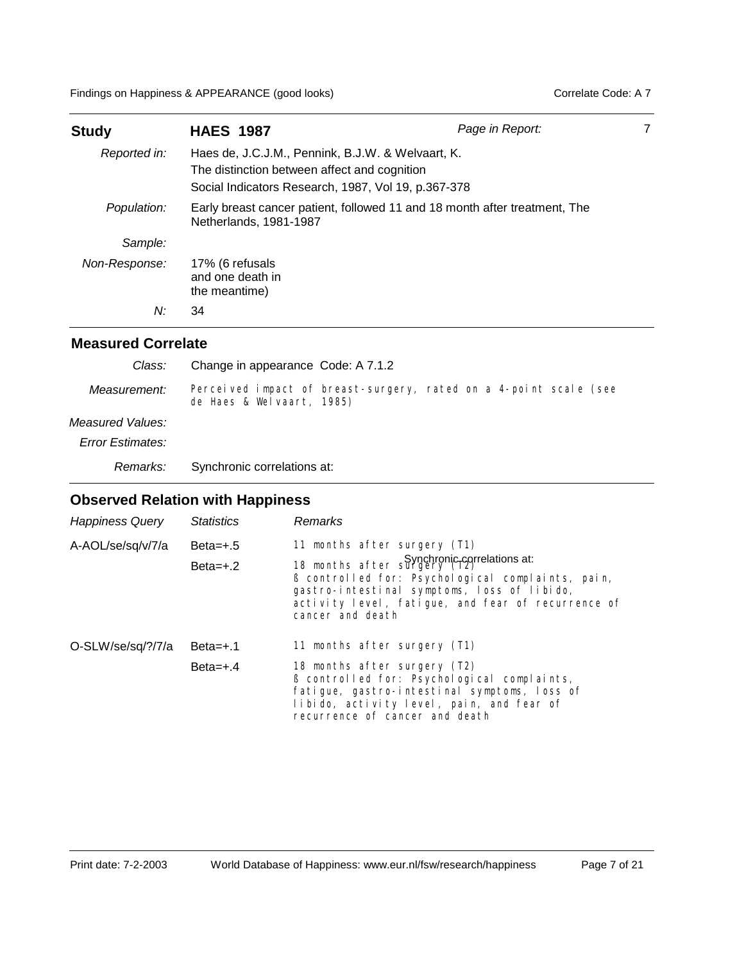Findings on Happiness & APPEARANCE (good looks) Correlate Code: A 7

| <b>Study</b>  | <b>HAES 1987</b>                                                                                                                                         | Page in Report: |  |
|---------------|----------------------------------------------------------------------------------------------------------------------------------------------------------|-----------------|--|
| Reported in:  | Haes de, J.C.J.M., Pennink, B.J.W. & Welvaart, K.<br>The distinction between affect and cognition<br>Social Indicators Research, 1987, Vol 19, p.367-378 |                 |  |
| Population:   | Early breast cancer patient, followed 11 and 18 month after treatment, The<br>Netherlands, 1981-1987                                                     |                 |  |
| Sample:       |                                                                                                                                                          |                 |  |
| Non-Response: | 17% (6 refusals<br>and one death in<br>the meantime)                                                                                                     |                 |  |
| N:            | 34                                                                                                                                                       |                 |  |

#### **Measured Correlate**

| Class:                  | Change in appearance Code: A 7.1.2                                                             |
|-------------------------|------------------------------------------------------------------------------------------------|
| Measurement:            | Perceived impact of breast-surgery, rated on a 4-point scale (see<br>de Haes & Welvaart, 1985) |
| Measured Values:        |                                                                                                |
| <b>Error Estimates:</b> |                                                                                                |
| Remarks:                | Synchronic correlations at:                                                                    |

| <b>Happiness Query</b> | <b>Statistics</b>        | <b>Remarks</b>                                                                                                                                                                                                                                                            |
|------------------------|--------------------------|---------------------------------------------------------------------------------------------------------------------------------------------------------------------------------------------------------------------------------------------------------------------------|
| A-AOL/se/sq/v/7/a      | $Beta=+.5$<br>$Beta=+.2$ | 11 months after surgery (T1)<br>Synchronic correlations at:<br>18 months after surgery (12)<br>B controlled for: Psychological complaints, pain,<br>gastro-intestinal symptoms, loss of libido,<br>activity level, fatigue, and fear of recurrence of<br>cancer and death |
| O-SLW/se/sq/?/7/a      | $Beta = +.1$             | 11 months after surgery (T1)                                                                                                                                                                                                                                              |
|                        | $Beta=+.4$               | 18 months after surgery (T2)<br>ß controlled for: Psychological complaints,<br>fatigue, gastro-intestinal symptoms, loss of<br>libido, activity level, pain, and fear of<br>recurrence of cancer and death                                                                |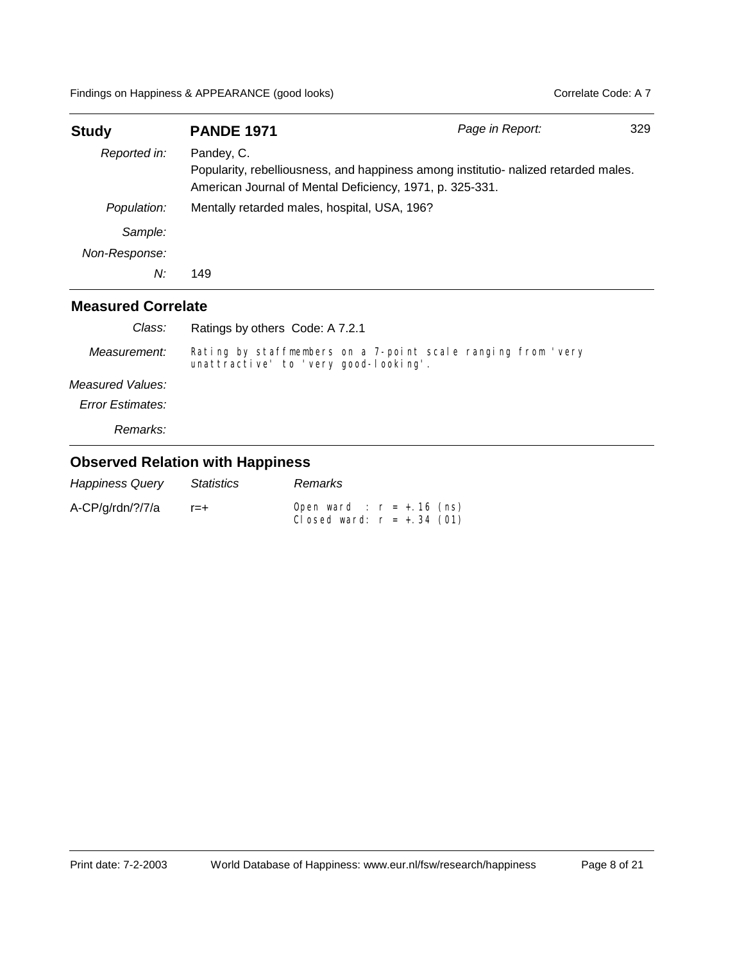| <b>Study</b>  | <b>PANDE 1971</b>                                                                                                                                             | Page in Report: | 329 |
|---------------|---------------------------------------------------------------------------------------------------------------------------------------------------------------|-----------------|-----|
| Reported in:  | Pandey, C.<br>Popularity, rebelliousness, and happiness among institutio- nalized retarded males.<br>American Journal of Mental Deficiency, 1971, p. 325-331. |                 |     |
| Population:   | Mentally retarded males, hospital, USA, 196?                                                                                                                  |                 |     |
| Sample:       |                                                                                                                                                               |                 |     |
| Non-Response: |                                                                                                                                                               |                 |     |
| N:            | 149                                                                                                                                                           |                 |     |
|               |                                                                                                                                                               |                 |     |

| Class:                  | Ratings by others Code: A 7.2.1                                                                       |
|-------------------------|-------------------------------------------------------------------------------------------------------|
| Measurement:            | Rating by staffmembers on a 7-point scale ranging from 'very<br>unattractive' to 'very good-looking'. |
| Measured Values:        |                                                                                                       |
| <b>Error Estimates:</b> |                                                                                                       |
| Remarks:                |                                                                                                       |

| <b>Happiness Query</b> | Statistics | Remarks                                                      |
|------------------------|------------|--------------------------------------------------------------|
| A-CP/g/rdn/?/7/a       | $r = +$    | Open ward : $r = +.16$ (ns)<br>Closed ward: $r = +0.34$ (01) |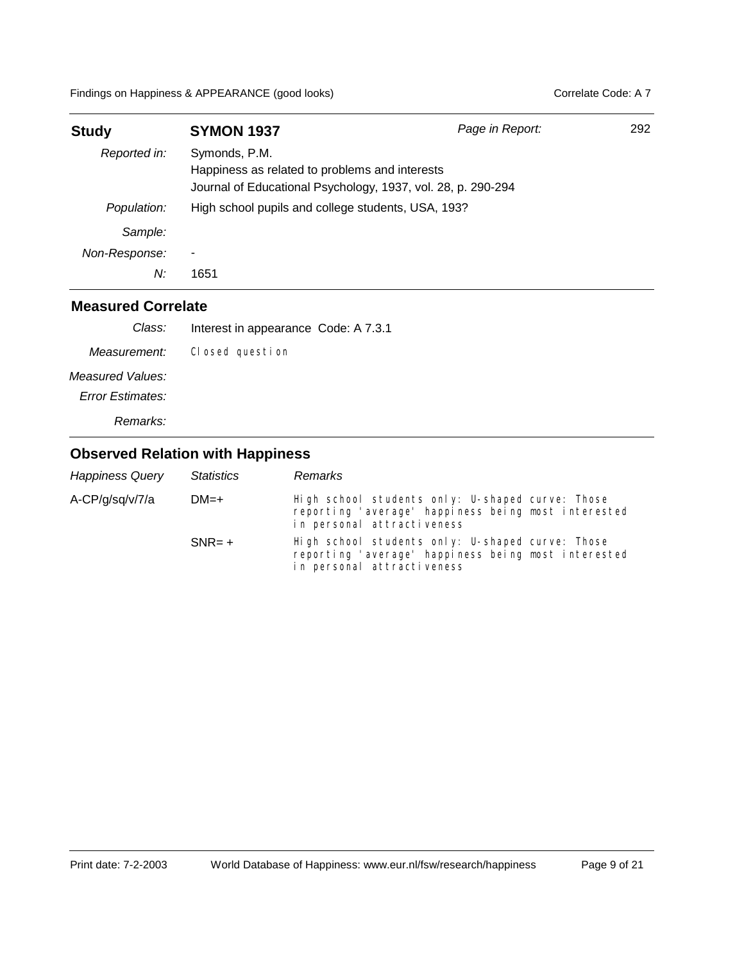| <b>Study</b>  | <b>SYMON 1937</b>                                                                                                               | Page in Report: | 292 |
|---------------|---------------------------------------------------------------------------------------------------------------------------------|-----------------|-----|
| Reported in:  | Symonds, P.M.<br>Happiness as related to problems and interests<br>Journal of Educational Psychology, 1937, vol. 28, p. 290-294 |                 |     |
| Population:   | High school pupils and college students, USA, 193?                                                                              |                 |     |
| Sample:       |                                                                                                                                 |                 |     |
| Non-Response: | ٠                                                                                                                               |                 |     |
| N:            | 1651                                                                                                                            |                 |     |

| Interest in appearance Code: A 7.3.1 |
|--------------------------------------|
| Closed question                      |
|                                      |
|                                      |
|                                      |
|                                      |

| <b>Happiness Query</b> | <b>Statistics</b> | Remarks                                                                                                                               |
|------------------------|-------------------|---------------------------------------------------------------------------------------------------------------------------------------|
| A-CP/g/sq/v/7/a        | $DM=+$            | High school students only: U-shaped curve: Those<br>reporting 'average' happiness being most interested<br>in personal attractiveness |
|                        | $SNR = +$         | High school students only: U-shaped curve: Those<br>reporting 'average' happiness being most interested<br>in personal attractiveness |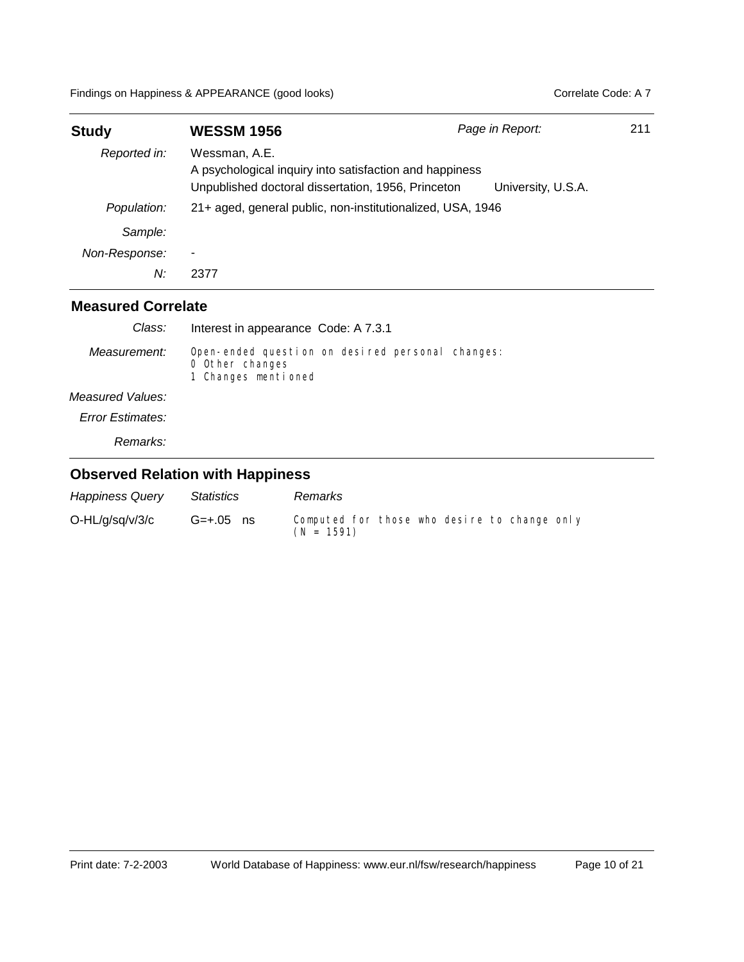| <b>Study</b>  | <b>WESSM 1956</b>                                                                                                              | Page in Report:    | 211 |
|---------------|--------------------------------------------------------------------------------------------------------------------------------|--------------------|-----|
| Reported in:  | Wessman, A.E.<br>A psychological inquiry into satisfaction and happiness<br>Unpublished doctoral dissertation, 1956, Princeton | University, U.S.A. |     |
| Population:   | 21+ aged, general public, non-institutionalized, USA, 1946                                                                     |                    |     |
| Sample:       |                                                                                                                                |                    |     |
| Non-Response: |                                                                                                                                |                    |     |
| N:            | 2377                                                                                                                           |                    |     |

| Class:                  | Interest in appearance Code: A 7.3.1                                                       |
|-------------------------|--------------------------------------------------------------------------------------------|
| Measurement:            | Open-ended question on desired personal changes:<br>0 Other changes<br>1 Changes mentioned |
| Measured Values:        |                                                                                            |
| <b>Error Estimates:</b> |                                                                                            |

*Remarks:*

| <b>Happiness Query</b> | Statistics  | <b>Remarks</b>                                               |
|------------------------|-------------|--------------------------------------------------------------|
| $O-HL/g/sq/v/3/c$      | $G=+.05$ ns | Computed for those who desire to change only<br>$(N = 1591)$ |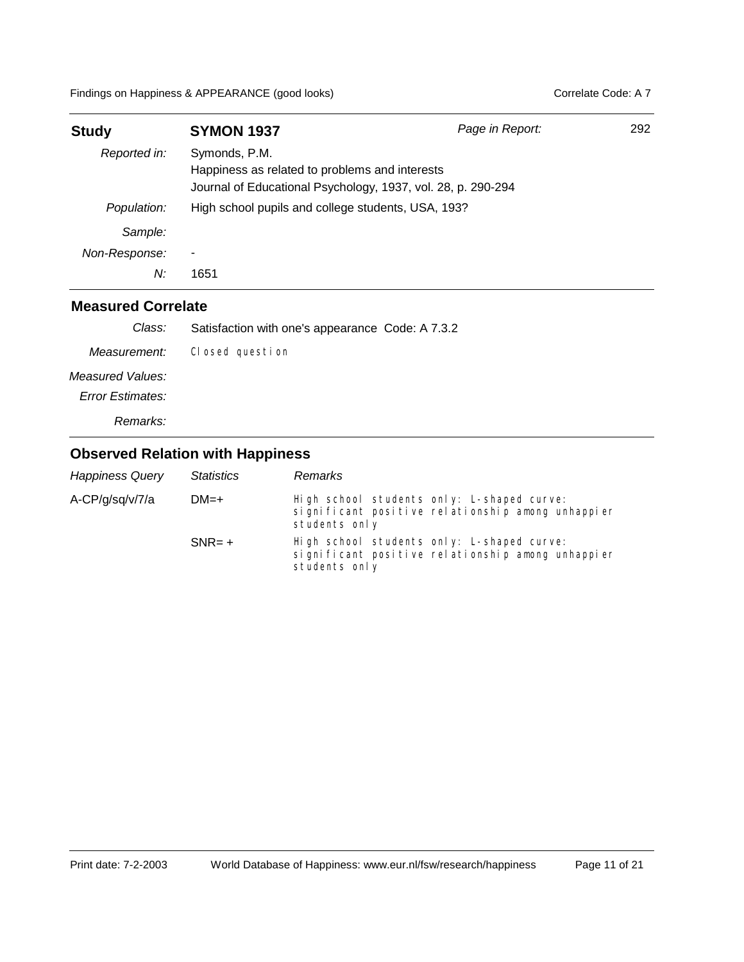| <b>Study</b>  | <b>SYMON 1937</b>                                                                                                               | Page in Report: | 292 |
|---------------|---------------------------------------------------------------------------------------------------------------------------------|-----------------|-----|
| Reported in:  | Symonds, P.M.<br>Happiness as related to problems and interests<br>Journal of Educational Psychology, 1937, vol. 28, p. 290-294 |                 |     |
| Population:   | High school pupils and college students, USA, 193?                                                                              |                 |     |
| Sample:       |                                                                                                                                 |                 |     |
| Non-Response: |                                                                                                                                 |                 |     |
| N:            | 1651                                                                                                                            |                 |     |

| Class:                  | Satisfaction with one's appearance Code: A 7.3.2 |
|-------------------------|--------------------------------------------------|
| Measurement:            | Closed question                                  |
| Measured Values:        |                                                  |
| <b>Error Estimates:</b> |                                                  |
| Remarks:                |                                                  |

| <b>Happiness Query</b> | <b>Statistics</b> | Remarks                                                                                                          |
|------------------------|-------------------|------------------------------------------------------------------------------------------------------------------|
| A-CP/g/sg/v/7/a        | $DM=+$            | High school students only: L-shaped curve:<br>significant positive relationship among unhappier<br>students only |
|                        | $SNR = +$         | High school students only: L-shaped curve:<br>significant positive relationship among unhappier<br>students only |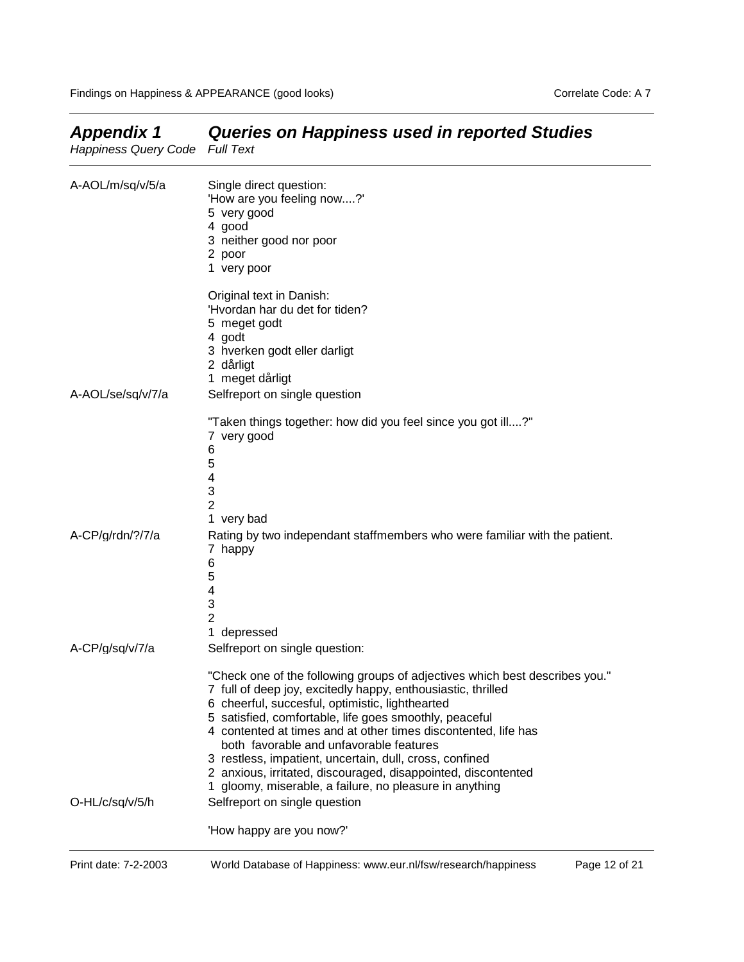| Happiness Query Code Full Text |                                                                                                                                                                                                                                                                                                                                                                                                                                                                                                                                                                                               |
|--------------------------------|-----------------------------------------------------------------------------------------------------------------------------------------------------------------------------------------------------------------------------------------------------------------------------------------------------------------------------------------------------------------------------------------------------------------------------------------------------------------------------------------------------------------------------------------------------------------------------------------------|
| A-AOL/m/sq/v/5/a               | Single direct question:<br>'How are you feeling now?'<br>5 very good<br>4 good<br>3 neither good nor poor<br>2 poor<br>1 very poor                                                                                                                                                                                                                                                                                                                                                                                                                                                            |
|                                | Original text in Danish:<br>'Hvordan har du det for tiden?<br>5 meget godt<br>4 godt<br>3 hverken godt eller darligt                                                                                                                                                                                                                                                                                                                                                                                                                                                                          |
|                                | 2 dårligt<br>1 meget dårligt                                                                                                                                                                                                                                                                                                                                                                                                                                                                                                                                                                  |
| A-AOL/se/sq/v/7/a              | Selfreport on single question                                                                                                                                                                                                                                                                                                                                                                                                                                                                                                                                                                 |
|                                | "Taken things together: how did you feel since you got ill?"<br>7 very good<br>6<br>5<br>4<br>3<br>$\overline{2}$<br>1 very bad                                                                                                                                                                                                                                                                                                                                                                                                                                                               |
| A-CP/g/rdn/?/7/a               | Rating by two independant staffmembers who were familiar with the patient.<br>7 happy<br>6<br>5<br>4<br>3<br>$\overline{2}$<br>1 depressed                                                                                                                                                                                                                                                                                                                                                                                                                                                    |
| A-CP/g/sq/v/7/a                | Selfreport on single question:                                                                                                                                                                                                                                                                                                                                                                                                                                                                                                                                                                |
| O-HL/c/sq/v/5/h                | "Check one of the following groups of adjectives which best describes you."<br>7 full of deep joy, excitedly happy, enthousiastic, thrilled<br>6 cheerful, succesful, optimistic, lighthearted<br>5 satisfied, comfortable, life goes smoothly, peaceful<br>4 contented at times and at other times discontented, life has<br>both favorable and unfavorable features<br>3 restless, impatient, uncertain, dull, cross, confined<br>2 anxious, irritated, discouraged, disappointed, discontented<br>1 gloomy, miserable, a failure, no pleasure in anything<br>Selfreport on single question |
|                                | 'How happy are you now?'                                                                                                                                                                                                                                                                                                                                                                                                                                                                                                                                                                      |

# *Appendix 1 Queries on Happiness used in reported Studies*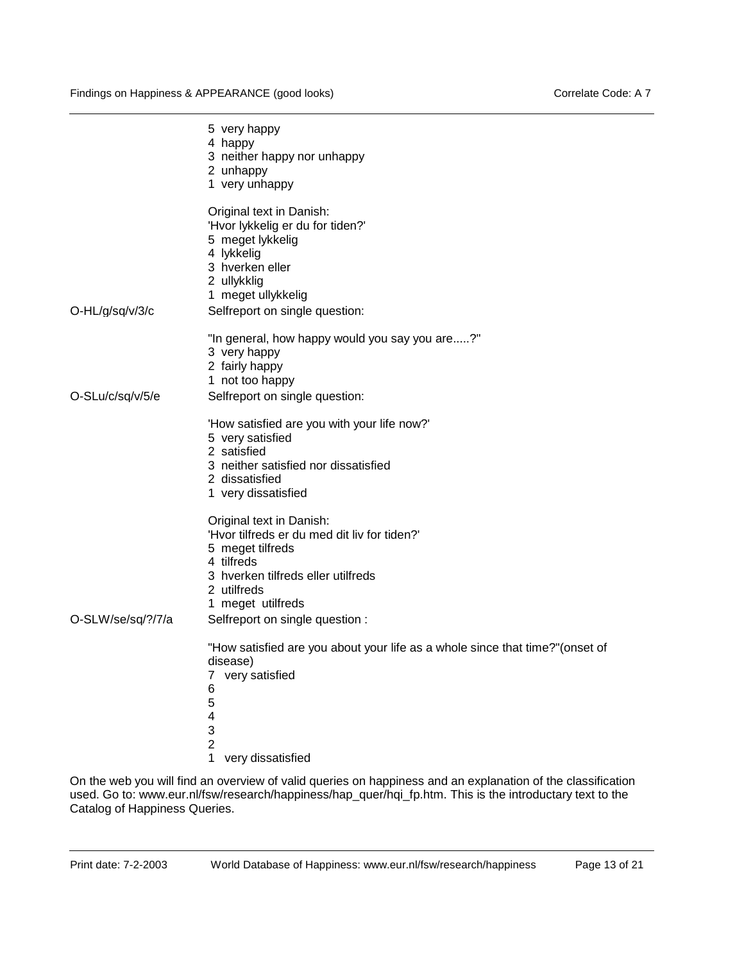|                   | 5 very happy<br>4 happy<br>3 neither happy nor unhappy<br>2 unhappy<br>1 very unhappy                                                                                                                                   |
|-------------------|-------------------------------------------------------------------------------------------------------------------------------------------------------------------------------------------------------------------------|
| O-HL/g/sq/v/3/c   | Original text in Danish:<br>'Hvor lykkelig er du for tiden?'<br>5 meget lykkelig<br>4 lykkelig<br>3 hverken eller<br>2 ullykklig<br>1 meget ullykkelig<br>Selfreport on single question:                                |
|                   | "In general, how happy would you say you are?"<br>3 very happy<br>2 fairly happy<br>1 not too happy                                                                                                                     |
| O-SLu/c/sq/v/5/e  | Selfreport on single question:                                                                                                                                                                                          |
|                   | 'How satisfied are you with your life now?'<br>5 very satisfied<br>2 satisfied<br>3 neither satisfied nor dissatisfied<br>2 dissatisfied<br>1 very dissatisfied                                                         |
| O-SLW/se/sq/?/7/a | Original text in Danish:<br>'Hvor tilfreds er du med dit liv for tiden?'<br>5 meget tilfreds<br>4 tilfreds<br>3 hverken tilfreds eller utilfreds<br>2 utilfreds<br>1 meget utilfreds<br>Selfreport on single question : |
|                   | "How satisfied are you about your life as a whole since that time?" (onset of<br>disease)<br>very satisfied<br>7<br>6<br>5<br>4<br>3<br>$\overline{2}$                                                                  |
|                   | 1<br>very dissatisfied                                                                                                                                                                                                  |

On the web you will find an overview of valid queries on happiness and an explanation of the classification used. Go to: www.eur.nl/fsw/research/happiness/hap\_quer/hqi\_fp.htm. This is the introductary text to the Catalog of Happiness Queries.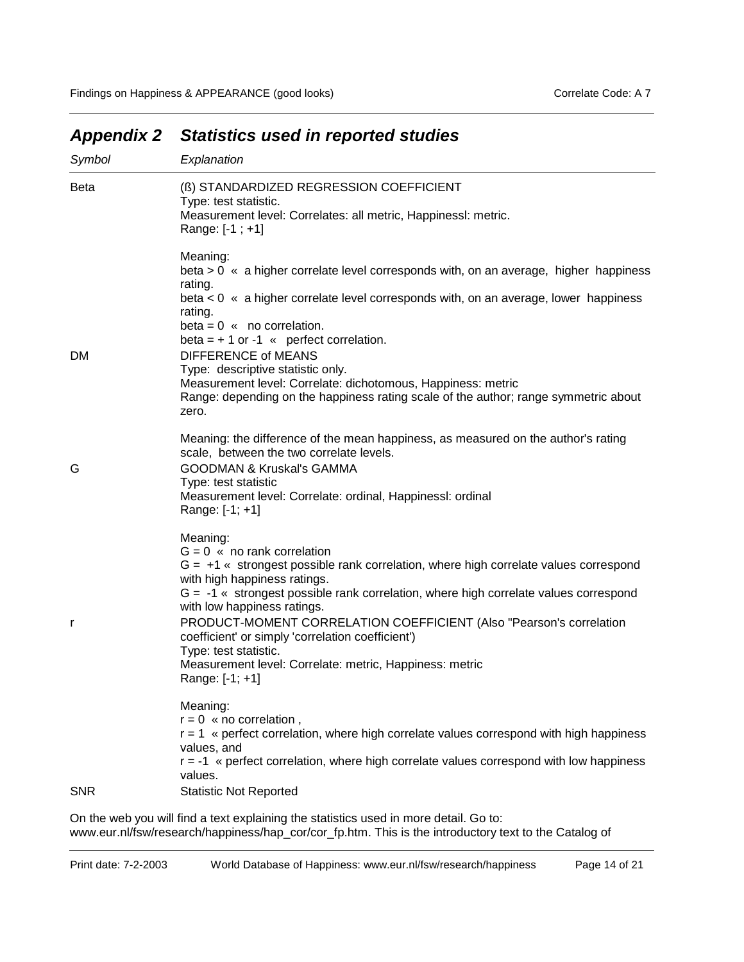| <b>Beta</b><br>(B) STANDARDIZED REGRESSION COEFFICIENT<br>Type: test statistic.<br>Measurement level: Correlates: all metric, Happinessl: metric.<br>Range: [-1 ; +1]<br>Meaning:<br>beta > 0 « a higher correlate level corresponds with, on an average, higher happiness<br>rating.<br>beta $< 0$ « a higher correlate level corresponds with, on an average, lower happiness<br>rating.<br>$beta = 0$ « no correlation.<br>beta = $+1$ or -1 « perfect correlation.<br><b>DIFFERENCE of MEANS</b><br>Type: descriptive statistic only.<br>Measurement level: Correlate: dichotomous, Happiness: metric<br>Range: depending on the happiness rating scale of the author; range symmetric about<br>zero.<br>Meaning: the difference of the mean happiness, as measured on the author's rating<br>scale, between the two correlate levels.<br><b>GOODMAN &amp; Kruskal's GAMMA</b><br>G<br>Type: test statistic<br>Measurement level: Correlate: ordinal, Happinessl: ordinal<br>Range: [-1; +1]<br>Meaning:<br>$G = 0$ « no rank correlation<br>$G = +1$ « strongest possible rank correlation, where high correlate values correspond<br>with high happiness ratings.<br>$G = -1$ « strongest possible rank correlation, where high correlate values correspond<br>with low happiness ratings.<br>PRODUCT-MOMENT CORRELATION COEFFICIENT (Also "Pearson's correlation<br>r<br>coefficient' or simply 'correlation coefficient')<br>Type: test statistic.<br>Measurement level: Correlate: metric, Happiness: metric<br>Range: [-1; +1]<br>Meaning:<br>$r = 0$ « no correlation,<br>r = 1 « perfect correlation, where high correlate values correspond with high happiness<br>values, and<br>$r = -1$ « perfect correlation, where high correlate values correspond with low happiness<br>values.<br><b>Statistic Not Reported</b><br><b>SNR</b> | Symbol | Explanation |
|----------------------------------------------------------------------------------------------------------------------------------------------------------------------------------------------------------------------------------------------------------------------------------------------------------------------------------------------------------------------------------------------------------------------------------------------------------------------------------------------------------------------------------------------------------------------------------------------------------------------------------------------------------------------------------------------------------------------------------------------------------------------------------------------------------------------------------------------------------------------------------------------------------------------------------------------------------------------------------------------------------------------------------------------------------------------------------------------------------------------------------------------------------------------------------------------------------------------------------------------------------------------------------------------------------------------------------------------------------------------------------------------------------------------------------------------------------------------------------------------------------------------------------------------------------------------------------------------------------------------------------------------------------------------------------------------------------------------------------------------------------------------------------------------------------------------------------------------------|--------|-------------|
|                                                                                                                                                                                                                                                                                                                                                                                                                                                                                                                                                                                                                                                                                                                                                                                                                                                                                                                                                                                                                                                                                                                                                                                                                                                                                                                                                                                                                                                                                                                                                                                                                                                                                                                                                                                                                                                    |        |             |
|                                                                                                                                                                                                                                                                                                                                                                                                                                                                                                                                                                                                                                                                                                                                                                                                                                                                                                                                                                                                                                                                                                                                                                                                                                                                                                                                                                                                                                                                                                                                                                                                                                                                                                                                                                                                                                                    |        |             |
|                                                                                                                                                                                                                                                                                                                                                                                                                                                                                                                                                                                                                                                                                                                                                                                                                                                                                                                                                                                                                                                                                                                                                                                                                                                                                                                                                                                                                                                                                                                                                                                                                                                                                                                                                                                                                                                    |        |             |
|                                                                                                                                                                                                                                                                                                                                                                                                                                                                                                                                                                                                                                                                                                                                                                                                                                                                                                                                                                                                                                                                                                                                                                                                                                                                                                                                                                                                                                                                                                                                                                                                                                                                                                                                                                                                                                                    | DM     |             |
|                                                                                                                                                                                                                                                                                                                                                                                                                                                                                                                                                                                                                                                                                                                                                                                                                                                                                                                                                                                                                                                                                                                                                                                                                                                                                                                                                                                                                                                                                                                                                                                                                                                                                                                                                                                                                                                    |        |             |
|                                                                                                                                                                                                                                                                                                                                                                                                                                                                                                                                                                                                                                                                                                                                                                                                                                                                                                                                                                                                                                                                                                                                                                                                                                                                                                                                                                                                                                                                                                                                                                                                                                                                                                                                                                                                                                                    |        |             |
|                                                                                                                                                                                                                                                                                                                                                                                                                                                                                                                                                                                                                                                                                                                                                                                                                                                                                                                                                                                                                                                                                                                                                                                                                                                                                                                                                                                                                                                                                                                                                                                                                                                                                                                                                                                                                                                    |        |             |
|                                                                                                                                                                                                                                                                                                                                                                                                                                                                                                                                                                                                                                                                                                                                                                                                                                                                                                                                                                                                                                                                                                                                                                                                                                                                                                                                                                                                                                                                                                                                                                                                                                                                                                                                                                                                                                                    |        |             |
|                                                                                                                                                                                                                                                                                                                                                                                                                                                                                                                                                                                                                                                                                                                                                                                                                                                                                                                                                                                                                                                                                                                                                                                                                                                                                                                                                                                                                                                                                                                                                                                                                                                                                                                                                                                                                                                    |        |             |
|                                                                                                                                                                                                                                                                                                                                                                                                                                                                                                                                                                                                                                                                                                                                                                                                                                                                                                                                                                                                                                                                                                                                                                                                                                                                                                                                                                                                                                                                                                                                                                                                                                                                                                                                                                                                                                                    |        |             |
|                                                                                                                                                                                                                                                                                                                                                                                                                                                                                                                                                                                                                                                                                                                                                                                                                                                                                                                                                                                                                                                                                                                                                                                                                                                                                                                                                                                                                                                                                                                                                                                                                                                                                                                                                                                                                                                    |        |             |
|                                                                                                                                                                                                                                                                                                                                                                                                                                                                                                                                                                                                                                                                                                                                                                                                                                                                                                                                                                                                                                                                                                                                                                                                                                                                                                                                                                                                                                                                                                                                                                                                                                                                                                                                                                                                                                                    |        |             |
|                                                                                                                                                                                                                                                                                                                                                                                                                                                                                                                                                                                                                                                                                                                                                                                                                                                                                                                                                                                                                                                                                                                                                                                                                                                                                                                                                                                                                                                                                                                                                                                                                                                                                                                                                                                                                                                    |        |             |
|                                                                                                                                                                                                                                                                                                                                                                                                                                                                                                                                                                                                                                                                                                                                                                                                                                                                                                                                                                                                                                                                                                                                                                                                                                                                                                                                                                                                                                                                                                                                                                                                                                                                                                                                                                                                                                                    |        |             |

# *Appendix 2 Statistics used in reported studies*

On the web you will find a text explaining the statistics used in more detail. Go to: www.eur.nl/fsw/research/happiness/hap\_cor/cor\_fp.htm. This is the introductory text to the Catalog of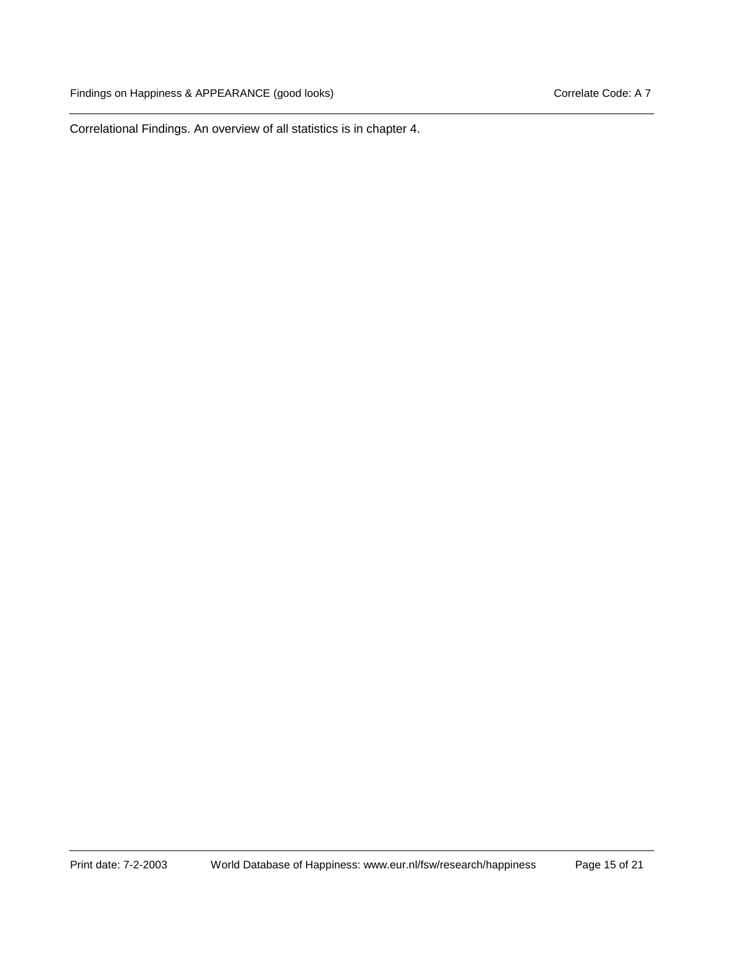Correlational Findings. An overview of all statistics is in chapter 4.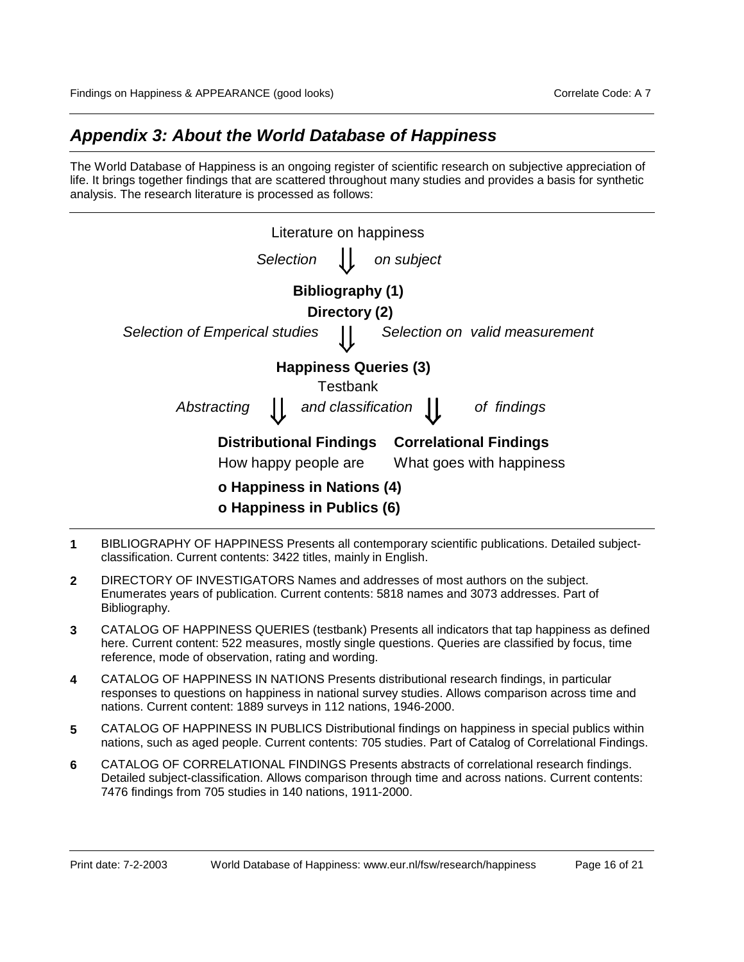## *Appendix 3: About the World Database of Happiness*

The World Database of Happiness is an ongoing register of scientific research on subjective appreciation of life. It brings together findings that are scattered throughout many studies and provides a basis for synthetic analysis. The research literature is processed as follows:

| Literature on happiness                                  |                    |                              |                                |
|----------------------------------------------------------|--------------------|------------------------------|--------------------------------|
| Selection                                                |                    | on subject                   |                                |
|                                                          | Bibliography (1)   |                              |                                |
|                                                          | Directory (2)      |                              |                                |
| <b>Selection of Emperical studies</b>                    |                    |                              | Selection on valid measurement |
|                                                          |                    | <b>Happiness Queries (3)</b> |                                |
|                                                          | Testbank           |                              |                                |
| Abstracting                                              | and classification |                              | of findings                    |
| <b>Distributional Findings</b>                           |                    |                              | <b>Correlational Findings</b>  |
| How happy people are                                     |                    |                              | What goes with happiness       |
| o Happiness in Nations (4)<br>o Happiness in Publics (6) |                    |                              |                                |

- **1** BIBLIOGRAPHY OF HAPPINESS Presents all contemporary scientific publications. Detailed subjectclassification. Current contents: 3422 titles, mainly in English.
- **2** DIRECTORY OF INVESTIGATORS Names and addresses of most authors on the subject. Enumerates years of publication. Current contents: 5818 names and 3073 addresses. Part of Bibliography.
- **3** CATALOG OF HAPPINESS QUERIES (testbank) Presents all indicators that tap happiness as defined here. Current content: 522 measures, mostly single questions. Queries are classified by focus, time reference, mode of observation, rating and wording.
- **4** CATALOG OF HAPPINESS IN NATIONS Presents distributional research findings, in particular responses to questions on happiness in national survey studies. Allows comparison across time and nations. Current content: 1889 surveys in 112 nations, 1946-2000.
- **5** CATALOG OF HAPPINESS IN PUBLICS Distributional findings on happiness in special publics within nations, such as aged people. Current contents: 705 studies. Part of Catalog of Correlational Findings.
- **6** CATALOG OF CORRELATIONAL FINDINGS Presents abstracts of correlational research findings. Detailed subject-classification. Allows comparison through time and across nations. Current contents: 7476 findings from 705 studies in 140 nations, 1911-2000.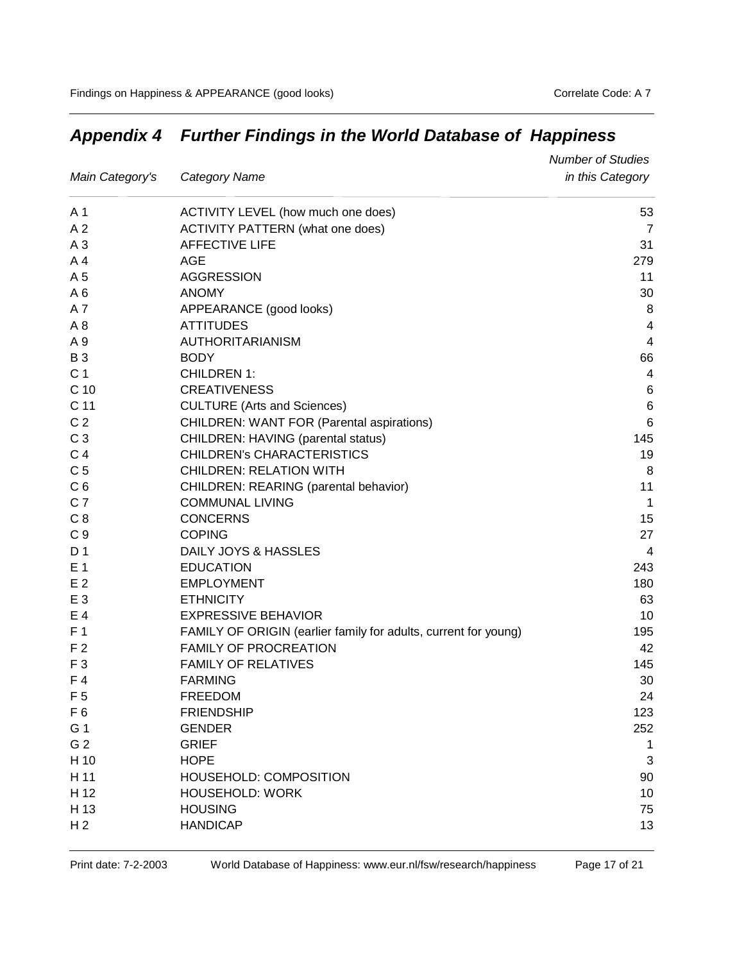|                 |                                                                 | <b>Number of Studies</b> |
|-----------------|-----------------------------------------------------------------|--------------------------|
| Main Category's | <b>Category Name</b>                                            | in this Category         |
| A 1             | ACTIVITY LEVEL (how much one does)                              | 53                       |
| A <sub>2</sub>  | <b>ACTIVITY PATTERN (what one does)</b>                         | $\overline{7}$           |
| A <sub>3</sub>  | <b>AFFECTIVE LIFE</b>                                           | 31                       |
| A <sub>4</sub>  | AGE                                                             | 279                      |
| A 5             | <b>AGGRESSION</b>                                               | 11                       |
| A6              | <b>ANOMY</b>                                                    | 30                       |
| A7              | APPEARANCE (good looks)                                         | 8                        |
| A <sub>8</sub>  | <b>ATTITUDES</b>                                                | 4                        |
| A 9             | AUTHORITARIANISM                                                | $\overline{\mathbf{4}}$  |
| <b>B3</b>       | <b>BODY</b>                                                     | 66                       |
| C <sub>1</sub>  | <b>CHILDREN 1:</b>                                              | 4                        |
| C <sub>10</sub> | <b>CREATIVENESS</b>                                             | 6                        |
| C 11            | <b>CULTURE (Arts and Sciences)</b>                              | $\,6$                    |
| C <sub>2</sub>  | <b>CHILDREN: WANT FOR (Parental aspirations)</b>                | 6                        |
| C <sub>3</sub>  | CHILDREN: HAVING (parental status)                              | 145                      |
| C <sub>4</sub>  | <b>CHILDREN's CHARACTERISTICS</b>                               | 19                       |
| C <sub>5</sub>  | <b>CHILDREN: RELATION WITH</b>                                  | 8                        |
| C <sub>6</sub>  | CHILDREN: REARING (parental behavior)                           | 11                       |
| C <sub>7</sub>  | <b>COMMUNAL LIVING</b>                                          | $\overline{1}$           |
| C <sub>8</sub>  | <b>CONCERNS</b>                                                 | 15                       |
| C <sub>9</sub>  | <b>COPING</b>                                                   | 27                       |
| D <sub>1</sub>  | DAILY JOYS & HASSLES                                            | $\overline{4}$           |
| E 1             | <b>EDUCATION</b>                                                | 243                      |
| E <sub>2</sub>  | <b>EMPLOYMENT</b>                                               | 180                      |
| E 3             | <b>ETHNICITY</b>                                                | 63                       |
| E 4             | <b>EXPRESSIVE BEHAVIOR</b>                                      | 10                       |
| F <sub>1</sub>  | FAMILY OF ORIGIN (earlier family for adults, current for young) | 195                      |
| F <sub>2</sub>  | <b>FAMILY OF PROCREATION</b>                                    | 42                       |
| F <sub>3</sub>  | <b>FAMILY OF RELATIVES</b>                                      | 145                      |
| F4              | <b>FARMING</b>                                                  | 30                       |
| F <sub>5</sub>  | <b>FREEDOM</b>                                                  | 24                       |
| F <sub>6</sub>  | <b>FRIENDSHIP</b>                                               | 123                      |
| G 1             | <b>GENDER</b>                                                   | 252                      |
| G <sub>2</sub>  | <b>GRIEF</b>                                                    | 1                        |
| H 10            | <b>HOPE</b>                                                     | 3                        |
| H 11            | HOUSEHOLD: COMPOSITION                                          | 90                       |
| H 12            | <b>HOUSEHOLD: WORK</b>                                          | 10                       |
| H 13            | <b>HOUSING</b>                                                  | 75                       |
| H <sub>2</sub>  | <b>HANDICAP</b>                                                 | 13                       |

# *Appendix 4 Further Findings in the World Database of Happiness*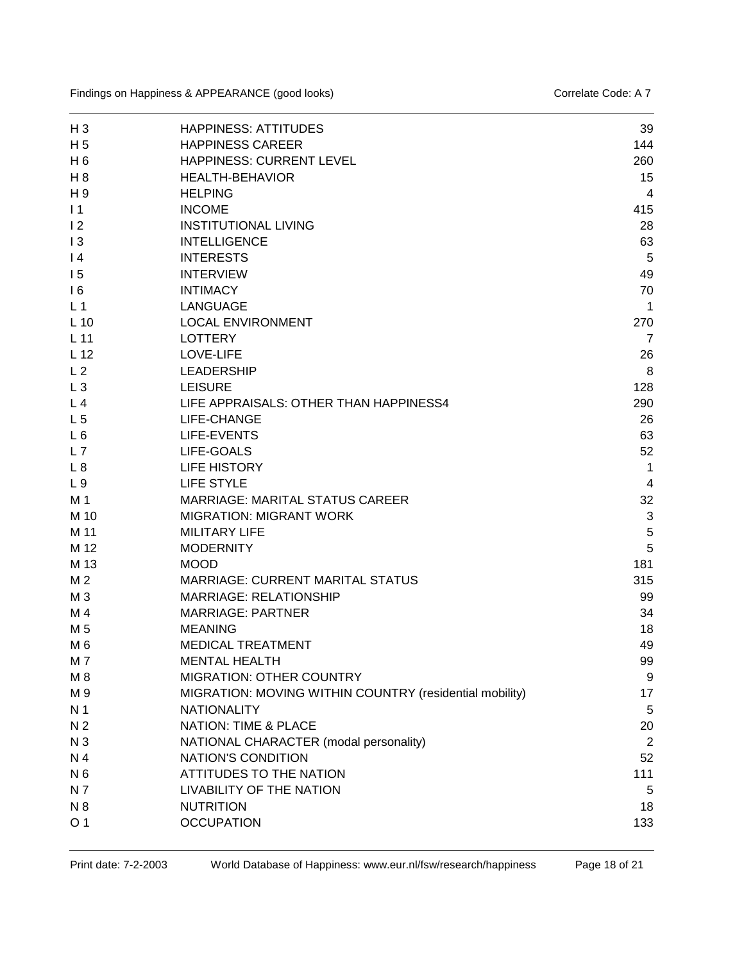| $H_3$           | <b>HAPPINESS: ATTITUDES</b>                             | 39             |
|-----------------|---------------------------------------------------------|----------------|
| H <sub>5</sub>  | <b>HAPPINESS CAREER</b>                                 | 144            |
| H <sub>6</sub>  | HAPPINESS: CURRENT LEVEL                                | 260            |
| H 8             | <b>HEALTH-BEHAVIOR</b>                                  | 15             |
| H <sub>9</sub>  | <b>HELPING</b>                                          | $\overline{4}$ |
| $\overline{11}$ | <b>INCOME</b>                                           | 415            |
| $\overline{2}$  | <b>INSTITUTIONAL LIVING</b>                             | 28             |
| 13              | <b>INTELLIGENCE</b>                                     | 63             |
| $\vert 4$       | <b>INTERESTS</b>                                        | 5              |
| 15              | <b>INTERVIEW</b>                                        | 49             |
| 16              | <b>INTIMACY</b>                                         | 70             |
| L <sub>1</sub>  | <b>LANGUAGE</b>                                         | 1              |
| $L$ 10          | <b>LOCAL ENVIRONMENT</b>                                | 270            |
| L <sub>11</sub> | <b>LOTTERY</b>                                          | $\overline{7}$ |
| L <sub>12</sub> | <b>LOVE-LIFE</b>                                        | 26             |
| L <sub>2</sub>  | <b>LEADERSHIP</b>                                       | 8              |
| $L_3$           | <b>LEISURE</b>                                          | 128            |
| L <sub>4</sub>  | LIFE APPRAISALS: OTHER THAN HAPPINESS4                  | 290            |
| L <sub>5</sub>  | LIFE-CHANGE                                             | 26             |
| $L_6$           | <b>LIFE-EVENTS</b>                                      | 63             |
| L7              | LIFE-GOALS                                              | 52             |
| L8              | <b>LIFE HISTORY</b>                                     | $\mathbf{1}$   |
| L <sub>9</sub>  | <b>LIFE STYLE</b>                                       | 4              |
| M 1             | MARRIAGE: MARITAL STATUS CAREER                         | 32             |
| M 10            | <b>MIGRATION: MIGRANT WORK</b>                          | 3              |
| M 11            | <b>MILITARY LIFE</b>                                    | 5              |
| M 12            | <b>MODERNITY</b>                                        | 5              |
| M 13            | <b>MOOD</b>                                             | 181            |
| M <sub>2</sub>  | <b>MARRIAGE: CURRENT MARITAL STATUS</b>                 | 315            |
| M <sub>3</sub>  | <b>MARRIAGE: RELATIONSHIP</b>                           | 99             |
| M 4             | <b>MARRIAGE: PARTNER</b>                                | 34             |
| M 5             | <b>MEANING</b>                                          | 18             |
| M <sub>6</sub>  | <b>MEDICAL TREATMENT</b>                                | 49             |
| M 7             | <b>MENTAL HEALTH</b>                                    | 99             |
| M <sub>8</sub>  | <b>MIGRATION: OTHER COUNTRY</b>                         | 9              |
| M 9             | MIGRATION: MOVING WITHIN COUNTRY (residential mobility) | 17             |
| N <sub>1</sub>  | <b>NATIONALITY</b>                                      | 5              |
| N <sub>2</sub>  | <b>NATION: TIME &amp; PLACE</b>                         | 20             |
| N <sub>3</sub>  | NATIONAL CHARACTER (modal personality)                  | $\overline{2}$ |
| N 4             | NATION'S CONDITION                                      | 52             |
| N <sub>6</sub>  | ATTITUDES TO THE NATION                                 | 111            |
| N 7             | LIVABILITY OF THE NATION                                | 5              |
| N 8             | <b>NUTRITION</b>                                        | 18             |
| O <sub>1</sub>  | <b>OCCUPATION</b>                                       | 133            |
|                 |                                                         |                |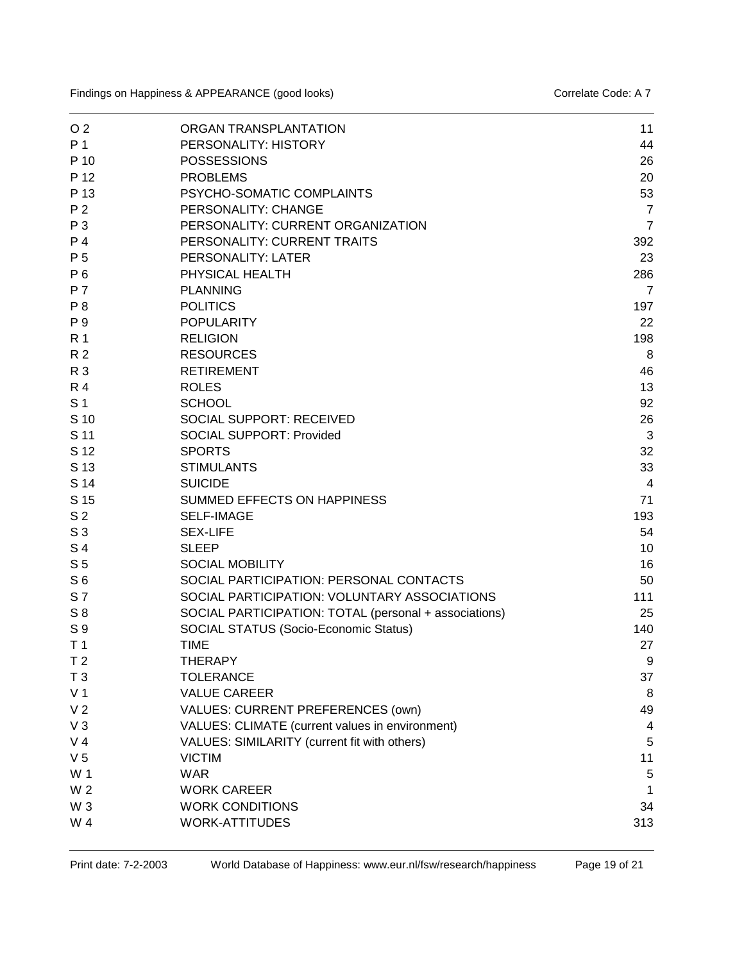| O <sub>2</sub> | ORGAN TRANSPLANTATION                                 | 11             |
|----------------|-------------------------------------------------------|----------------|
| P 1            | PERSONALITY: HISTORY                                  | 44             |
| P 10           | <b>POSSESSIONS</b>                                    | 26             |
| P 12           | <b>PROBLEMS</b>                                       | 20             |
| P 13           | PSYCHO-SOMATIC COMPLAINTS                             | 53             |
| P <sub>2</sub> | PERSONALITY: CHANGE                                   | $\overline{7}$ |
| P 3            | PERSONALITY: CURRENT ORGANIZATION                     | $\overline{7}$ |
| P 4            | PERSONALITY: CURRENT TRAITS                           | 392            |
| P 5            | PERSONALITY: LATER                                    | 23             |
| P 6            | PHYSICAL HEALTH                                       | 286            |
| <b>P7</b>      | <b>PLANNING</b>                                       | $\overline{7}$ |
| P <sub>8</sub> | <b>POLITICS</b>                                       | 197            |
| P 9            | <b>POPULARITY</b>                                     | 22             |
| R 1            | <b>RELIGION</b>                                       | 198            |
| R <sub>2</sub> | <b>RESOURCES</b>                                      | 8              |
| R 3            | <b>RETIREMENT</b>                                     | 46             |
| <b>R4</b>      | <b>ROLES</b>                                          | 13             |
| S <sub>1</sub> | <b>SCHOOL</b>                                         | 92             |
| S 10           | <b>SOCIAL SUPPORT: RECEIVED</b>                       | 26             |
| S 11           | <b>SOCIAL SUPPORT: Provided</b>                       | 3              |
| S 12           | <b>SPORTS</b>                                         | 32             |
| S 13           | <b>STIMULANTS</b>                                     | 33             |
| S 14           | <b>SUICIDE</b>                                        | 4              |
| S 15           | SUMMED EFFECTS ON HAPPINESS                           | 71             |
| S <sub>2</sub> | <b>SELF-IMAGE</b>                                     | 193            |
| S <sub>3</sub> | <b>SEX-LIFE</b>                                       | 54             |
| S 4            | <b>SLEEP</b>                                          | 10             |
| S <sub>5</sub> | <b>SOCIAL MOBILITY</b>                                | 16             |
| S <sub>6</sub> | SOCIAL PARTICIPATION: PERSONAL CONTACTS               | 50             |
| S 7            | SOCIAL PARTICIPATION: VOLUNTARY ASSOCIATIONS          | 111            |
| $S_8$          | SOCIAL PARTICIPATION: TOTAL (personal + associations) | 25             |
| S 9            | SOCIAL STATUS (Socio-Economic Status)                 | 140            |
| T <sub>1</sub> | <b>TIME</b>                                           | 27             |
| T <sub>2</sub> | <b>THERAPY</b>                                        | 9              |
| T <sub>3</sub> | <b>TOLERANCE</b>                                      | 37             |
| V <sub>1</sub> | <b>VALUE CAREER</b>                                   | 8              |
| V <sub>2</sub> | VALUES: CURRENT PREFERENCES (own)                     | 49             |
| $V_3$          | VALUES: CLIMATE (current values in environment)       | 4              |
| V <sub>4</sub> | VALUES: SIMILARITY (current fit with others)          | 5              |
| V <sub>5</sub> | <b>VICTIM</b>                                         | 11             |
| W 1            | <b>WAR</b>                                            | 5              |
| W <sub>2</sub> | <b>WORK CAREER</b>                                    | 1              |
| W <sub>3</sub> | <b>WORK CONDITIONS</b>                                | 34             |
| W 4            | <b>WORK-ATTITUDES</b>                                 | 313            |
|                |                                                       |                |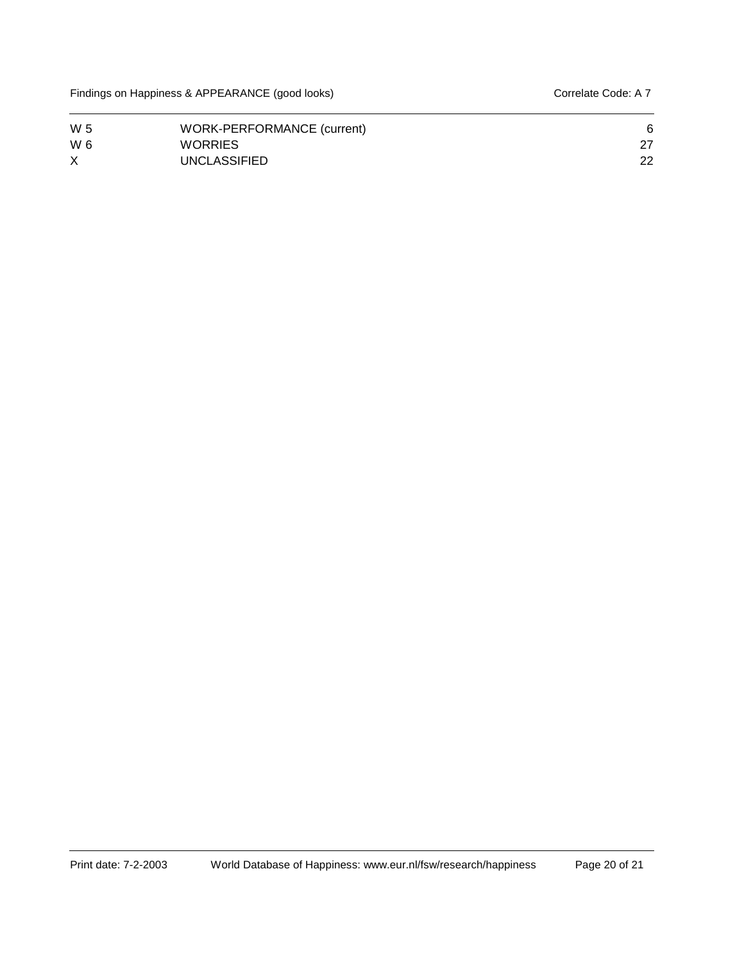| W 5      | WORK-PERFORMANCE (current) |    |
|----------|----------------------------|----|
| W 6      | <b>WORRIES</b>             |    |
| $\times$ | <b>UNCLASSIFIED</b>        | 22 |